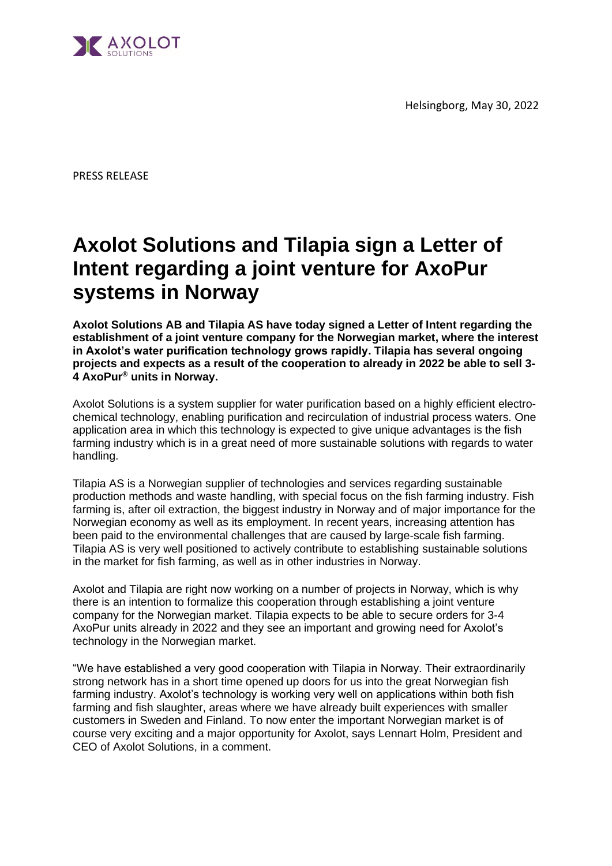Helsingborg, May 30, 2022



PRESS RELEASE

## **Axolot Solutions and Tilapia sign a Letter of Intent regarding a joint venture for AxoPur systems in Norway**

**Axolot Solutions AB and Tilapia AS have today signed a Letter of Intent regarding the establishment of a joint venture company for the Norwegian market, where the interest in Axolot's water purification technology grows rapidly. Tilapia has several ongoing projects and expects as a result of the cooperation to already in 2022 be able to sell 3- 4 AxoPur® units in Norway.**

Axolot Solutions is a system supplier for water purification based on a highly efficient electrochemical technology, enabling purification and recirculation of industrial process waters. One application area in which this technology is expected to give unique advantages is the fish farming industry which is in a great need of more sustainable solutions with regards to water handling.

Tilapia AS is a Norwegian supplier of technologies and services regarding sustainable production methods and waste handling, with special focus on the fish farming industry. Fish farming is, after oil extraction, the biggest industry in Norway and of major importance for the Norwegian economy as well as its employment. In recent years, increasing attention has been paid to the environmental challenges that are caused by large-scale fish farming. Tilapia AS is very well positioned to actively contribute to establishing sustainable solutions in the market for fish farming, as well as in other industries in Norway.

Axolot and Tilapia are right now working on a number of projects in Norway, which is why there is an intention to formalize this cooperation through establishing a joint venture company for the Norwegian market. Tilapia expects to be able to secure orders for 3-4 AxoPur units already in 2022 and they see an important and growing need for Axolot's technology in the Norwegian market.

"We have established a very good cooperation with Tilapia in Norway. Their extraordinarily strong network has in a short time opened up doors for us into the great Norwegian fish farming industry. Axolot's technology is working very well on applications within both fish farming and fish slaughter, areas where we have already built experiences with smaller customers in Sweden and Finland. To now enter the important Norwegian market is of course very exciting and a major opportunity for Axolot, says Lennart Holm, President and CEO of Axolot Solutions, in a comment.